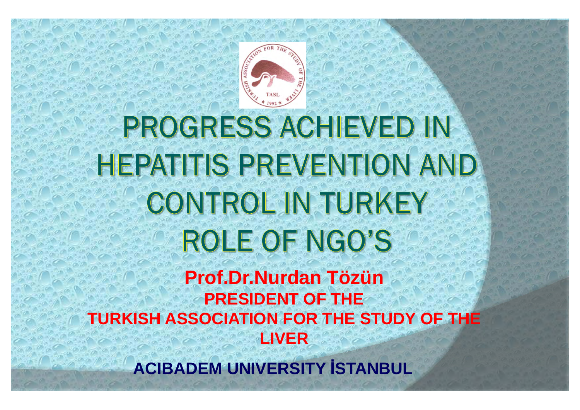

## **PROGRESS ACHIEVED IN HEPATITIS PREVENTION AND CONTROL IN TURKEY ROLE OF NGO'S Prof.Dr.Nurdan TözünPRESIDENT OF THETURKISH ASSOCIATION FOR THE STUDY OF THE LIVER**

**ACIBADEM UNIVERSITY İSTANBUL**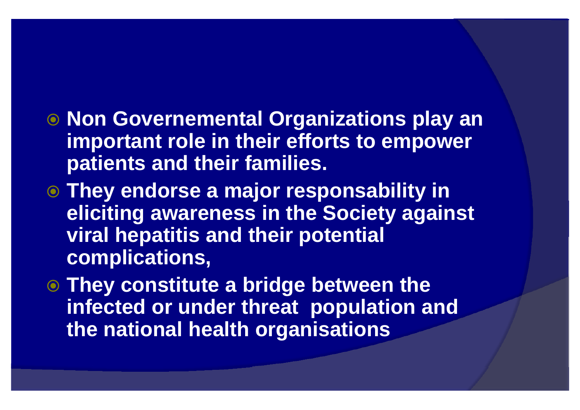- **Non Governemental Organizations play an important role in their efforts to empower patients and their families.**
- **They endorse a major responsability in eliciting awareness in the Society against viral hepatitis and their potential complications,**
- **They constitute a bridge between the infected or under threat population and the national health organisations**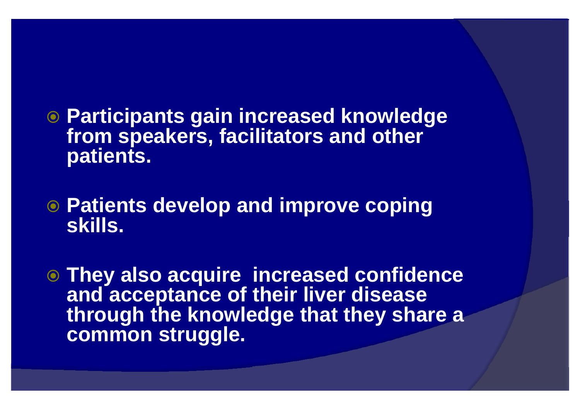- **Participants gain increased knowledge from speakers, facilitators and other patients.**
- **Patients develop and improve coping skills.**

 **They also acquire increased confidence and acceptance of their liver disease through the knowledge that they share a common struggle.**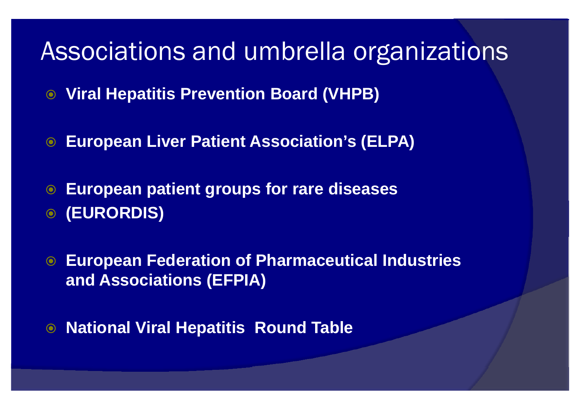### Associations and umbrella organizations

- **Viral Hepatitis Prevention Board (VHPB)**
- **European Liver Patient Association's (ELPA)**
- $\odot$  **European patient groups for rare diseases (EURORDIS)**
- **European Federation of Pharmaceutical Industries and Associations (EFPIA)**
- $\odot$ **National Viral Hepatitis Round Table**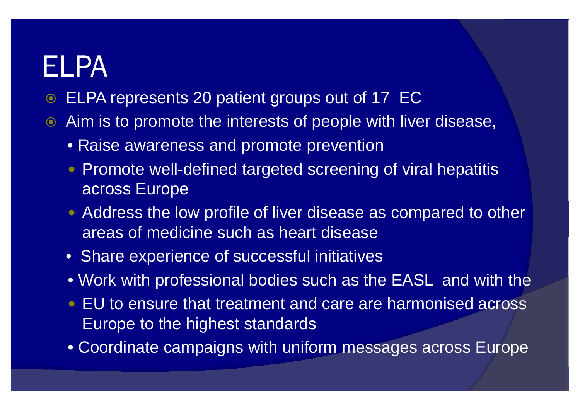## ELPA

- $\odot$ ELPA represents 20 patient groups out of 17 EC
- $\odot$  Aim is to promote the interests of people with liver disease,
	- Raise awareness and promote prevention
	- Promote well-defined targeted screening of viral hepatitis across Europe
	- Address the low profile of liver disease as compared to other areas of medicine such as heart disease
	- Share experience of successful initiatives
	- Work with professional bodies such as the EASL and with the
	- $\bullet$  EU to ensure that treatment and care are harmonised across Europe to the highest standards
	- Coordinate campaigns with uniform messages across Europe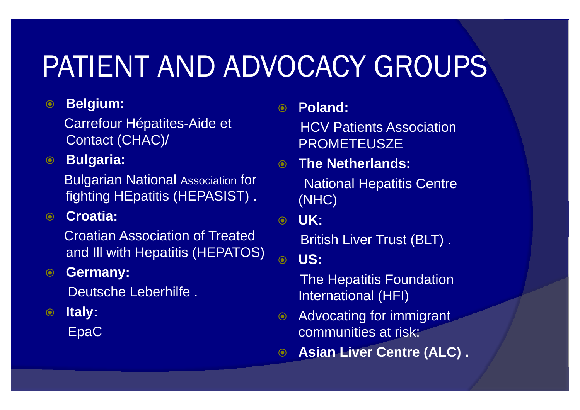# PATIENT AND ADVOCACY GROUPS

### $\odot$ **Belgium:**

Carrefour Hépatites-Aide et Contact (CHAC)/

### $\odot$ **Bulgaria:**

Bulgarian National Association for fighting HEpatitis (HEPASIST) .

### $\odot$ **Croatia:**

Croatian Association of Treated and Ill with Hepatitis (HEPATOS)

### $\odot$ **Germany:**

Deutsche Leberhilfe .

 $\odot$ **Italy:**

EpaC

 $\odot$ P**oland:**HCV Patients Association PROMETEUSZE

#### $\odot$ T**he Netherlands:**

National Hepatitis Centre (NHC)

### $\odot$ **UK:**

 $\odot$ 

British Liver Trust (BLT) . **US:**

The Hepatitis Foundation International (HFI)

- $\odot$  Advocating for immigrant communities at risk:
- $\odot$ **Asian Liver Centre (ALC) .**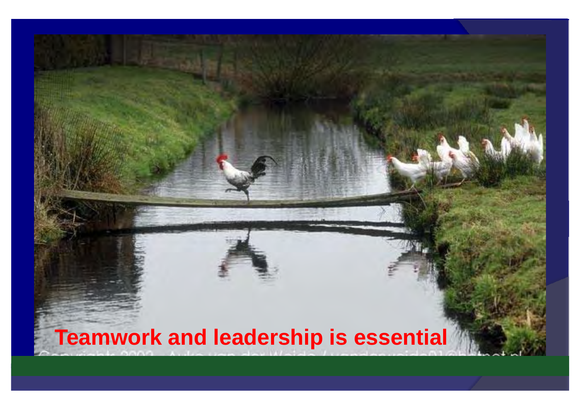### **Teamwork and leadership is essential**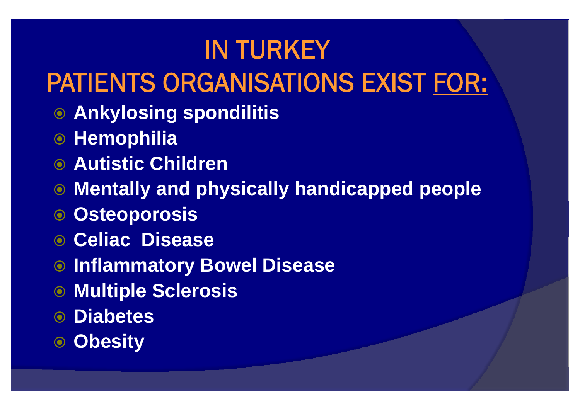# IN TURKEYPATIENTS ORGANISATIONS EXIST FOR:

- **Ankylosing spondilitis**
- **Hemophilia**
- **Autistic Children**
- **Mentally and physically handicapped people**
- **Osteoporosis**
- **Celiac Disease**
- **Inflammatory Bowel Disease**
- $\bigcirc$ **Multiple Sclerosis**
- **Diabetes**

### **Obesity**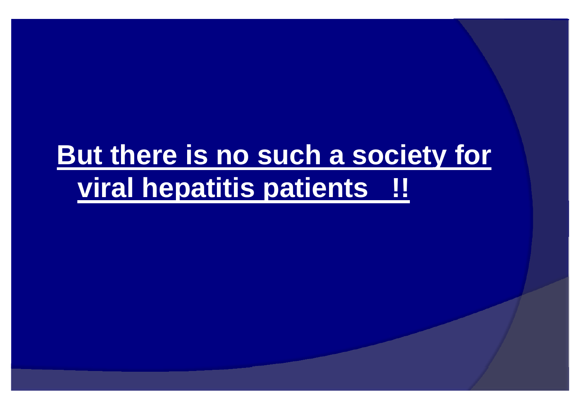# **But there is no such a society for viral hepatitis patients !!**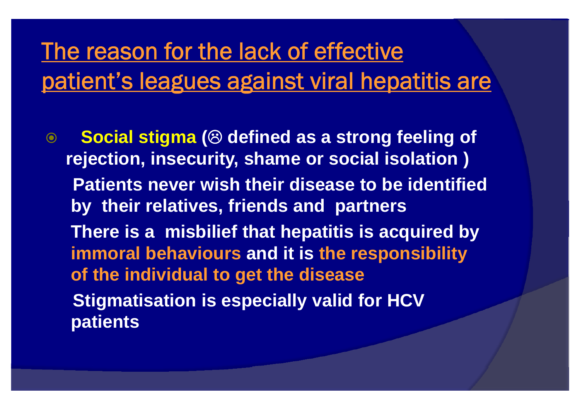### The reason for the lack of effective patient's leagues against viral hepatitis are

 $\odot$  **Social stigma (** / **defined as a strong feeling of rejection, insecurity, shame or social isolation ) Patients never wish their disease to be identifiedby their relatives, friends and partners There is a misbilief that hepatitis is acquired by immoral behaviours and it is the responsibility of the individual to get the disease Stigmatisation is especially valid for HCV patients**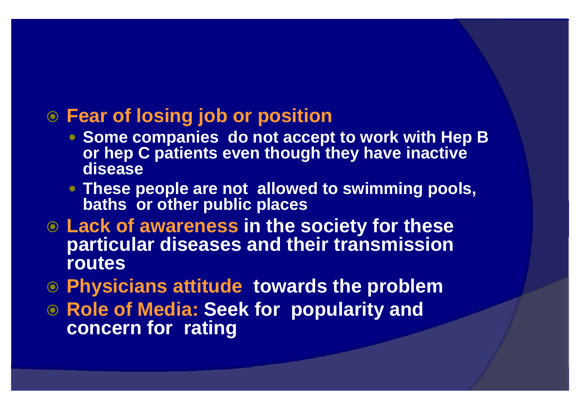### **Fear of losing job or position**

- y **Some companies do not accept to work with Hep B or hep C patients even though they have inactive disease**
- y **These people are not allowed to swimming pools, baths or other public places**
- **Lack of awareness in the society for these particular diseases and their transmission routes**
- **Physicians attitude towards the problem**
- **Role of Media: Seek for popularity and concern for rating**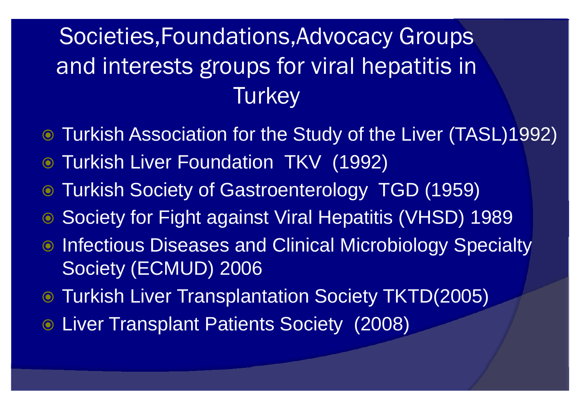Societies,Foundations,Advocacy Groups and interests groups for viral hepatitis in **Turkey** 

- Turkish Association for the Study of the Liver (TASL)1992)
- Turkish Liver Foundation TKV (1992)
- Turkish Society of Gastroenterology TGD (1959)
- Society for Fight against Viral Hepatitis (VHSD) 1989
- $\bullet$  Infectious Diseases and Clinical Microbiology Specialty Society (ECMUD) 2006
- Turkish Liver Transplantation Society TKTD(2005)
- Liver Transplant Patients Society (2008)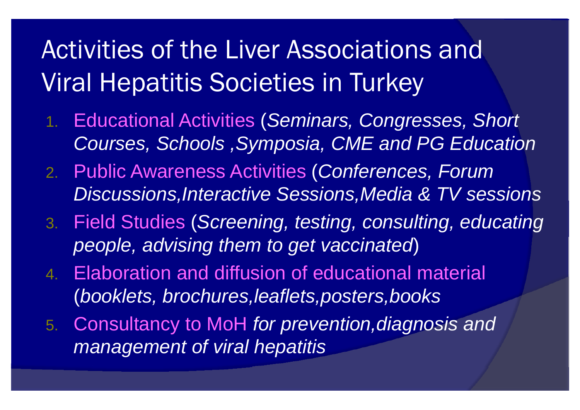## Activities of the Liver Associations and Viral Hepatitis Societies in Turkey

- 1. Educational Activities (*Seminars, Congresses, Short Courses, Schools ,Symposia, CME and PG Education*
- 2. Public Awareness Activities (*Conferences, Forum Discussions,Interactive Sessions,Media & TV sessions*
- 3. Field Studies (*Screening, testing, consulting, educating people, advising them to get vaccinated*)
- 4. Elaboration and diffusion of educational material (*booklets, brochures,leaflets,posters,books*
- 5. Consultancy to MoH *for prevention,diagnosis and management of viral hepatitis*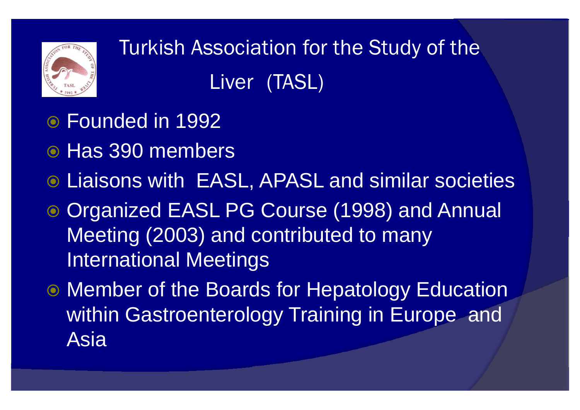

Turkish Association for the Study of the Liver (TASL)

- Founded in 1992
- Has 390 members
- Liaisons with EASL, APASL and similar societies
- Organized EASL PG Course (1998) and Annual Meeting (2003) and contributed to many International Meetings

 Member of the Boards for Hepatology Education within Gastroenterology Training in Europe and Asia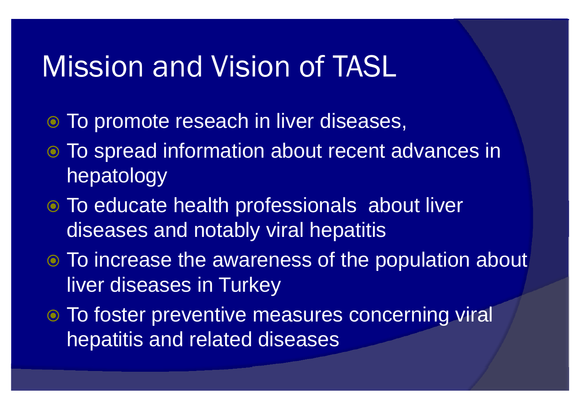# Mission and Vision of TASL

- To promote reseach in liver diseases,
- To spread information about recent advances in hepatology
- To educate health professionals about liver diseases and notably viral hepatitis
- To increase the awareness of the population about liver diseases in Turkey
- To foster preventive measures concerning viral hepatitis and related diseases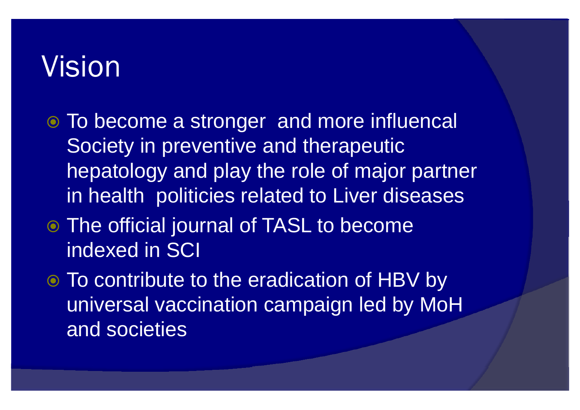# Vision

- To become a stronger and more influencal Society in preventive and therapeutic hepatology and play the role of major partner in health politicies related to Liver diseases
- The official journal of TASL to become indexed in SCI
- To contribute to the eradication of HBV by universal vaccination campaign led by MoH and societies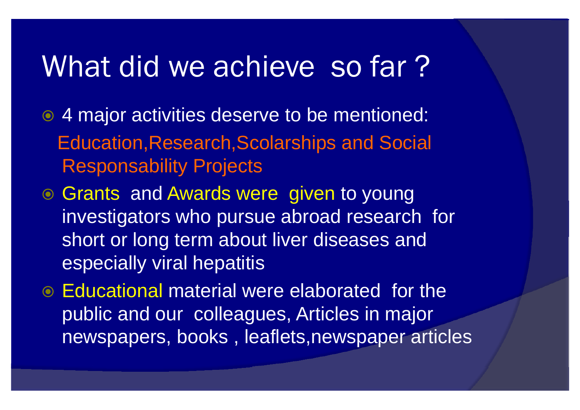## What did we achieve so far?

- 4 major activities deserve to be mentioned: Education,Research,Scolarships and Social Responsability Projects
- **Grants and Awards were given to young** investigators who pursue abroad research for short or long term about liver diseases and especially viral hepatitis
- Educational material were elaborated for the public and our colleagues, Articles in major newspapers, books , leaflets,newspaper articles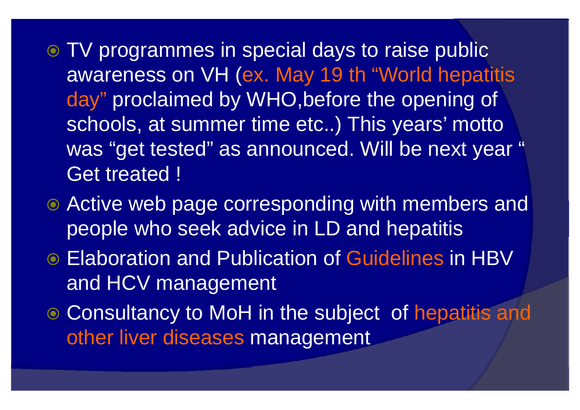- TV programmes in special days to raise public awareness on VH (ex. May 19 th "World hepatitis day" proclaimed by WHO, before the opening of schools, at summer time etc..) This years' motto was "get tested" as announced. Will be next year " Get treated !
- Active web page corresponding with members and people who seek advice in LD and hepatitis
- Elaboration and Publication of Guidelines in HBV and HCV management
- Consultancy to MoH in the subject of hepatitis and other liver diseases management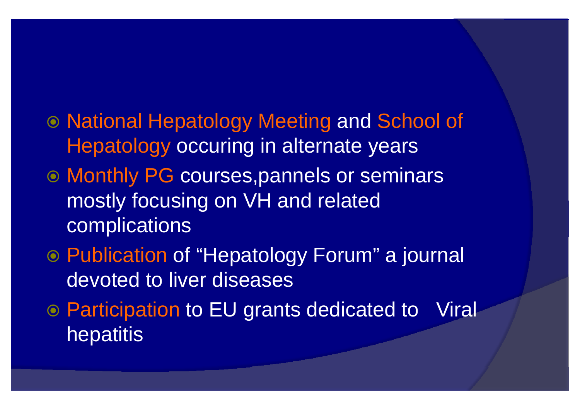$\circ$  National Hepatology Meeting and School of Hepatology occuring in alternate years

- Monthly PG courses,pannels or seminars mostly focusing on VH and related **complications**
- Publication of "Hepatology Forum" a journal devoted to liver diseases
- **Participation to EU grants dedicated to Viral** hepatitis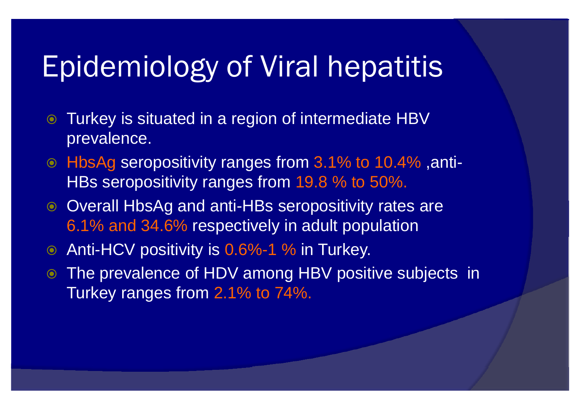# Epidemiology of Viral hepatitis

- Turkey is situated in a region of intermediate HBV prevalence.
- HbsAg seropositivity ranges from 3.1% to 10.4% ,anti-HBs seropositivity ranges from 19.8 % to 50%.
- Overall HbsAg and anti-HBs seropositivity rates are 6.1% and 34.6% respectively in adult population
- Anti-HCV positivity is 0.6%-1 % in Turkey.
- The prevalence of HDV among HBV positive subjects in Turkey ranges from 2.1% to 74%.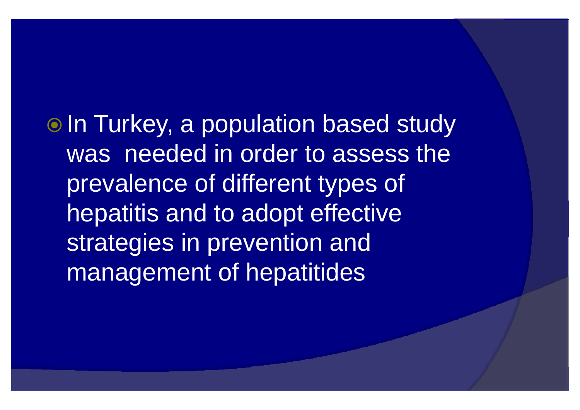$\circ$  In Turkey, a population based study was needed in order to assess the prevalence of different types of hepatitis and to adopt effective strategies in prevention and management of hepatitides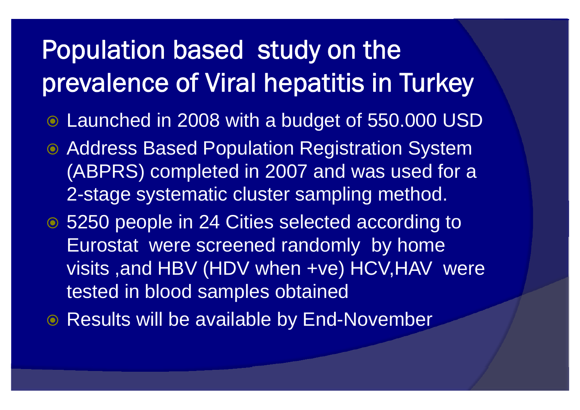## Population based study on the prevalence of Viral hepatitis in Turkey

- Launched in 2008 with a budget of 550.000 USD
- Address Based Population Registration System (ABPRS) completed in 2007 and was used for a 2-stage systematic cluster sampling method.
- 5250 people in 24 Cities selected according to Eurostat were screened randomly by home visits ,and HBV (HDV when +ve) HCV,HAV were tested in blood samples obtained
- Results will be available by End-November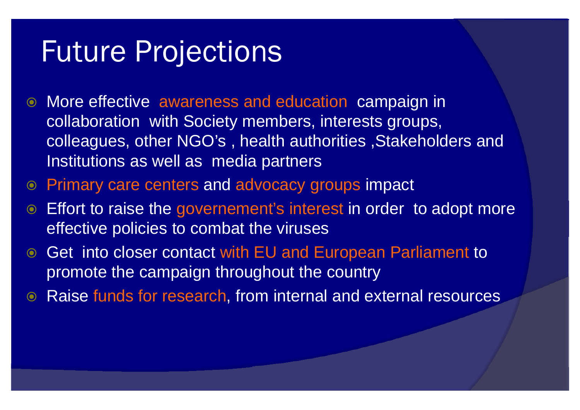# Future Projections

- $\odot$  More effective awareness and education campaign in collaboration with Society members, interests groups, colleagues, other NGO's , health authorities ,Stakeholders and Institutions as well as media partners
- Primary care centers and advocacy groups impact
- $\odot$ Effort to raise the governement's interest in order to adopt more effective policies to combat the viruses
- **◎ Get into closer contact with EU and European Parliament to** promote the campaign throughout the country
- $\odot$ Raise funds for research, from internal and external resources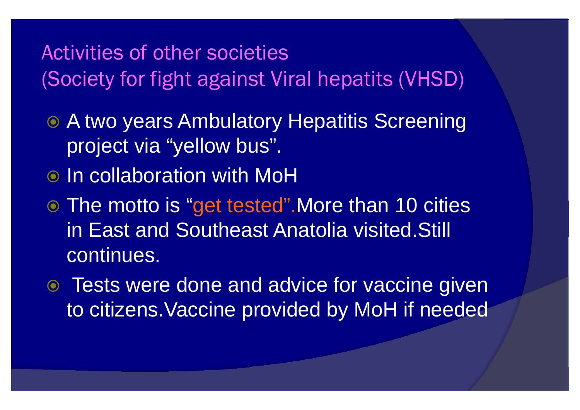### Activities of other societies (Society for fight against Viral hepatits (VHSD)

- A two years Ambulatory Hepatitis Screening project via "yellow bus".
- In collaboration with MoH
- The motto is "get tested".More than 10 cities in East and Southeast Anatolia visited.Still continues.
- Tests were done and advice for vaccine given to citizens.Vaccine provided by MoH if needed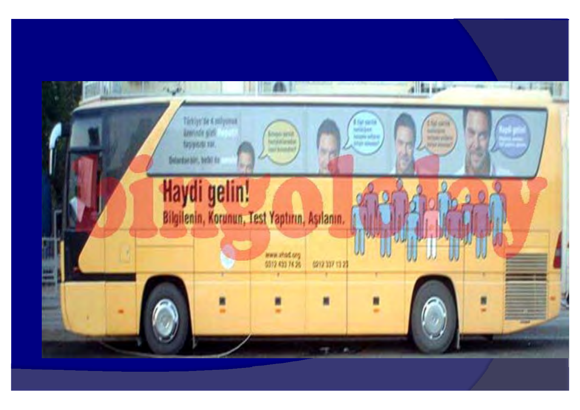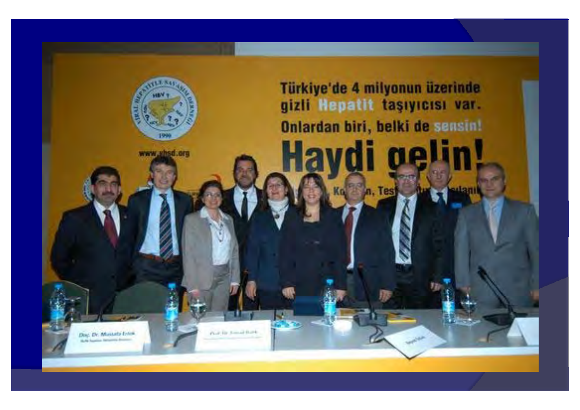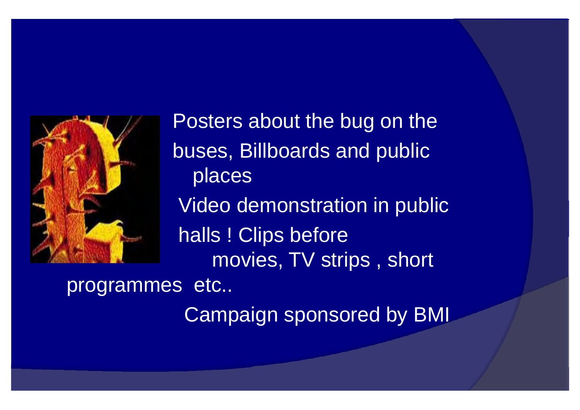

Posters about the bug on the buses, Billboards and public places Video demonstration in public halls ! Clips before movies, TV strips , short programmes etc..

Campaign sponsored by BMI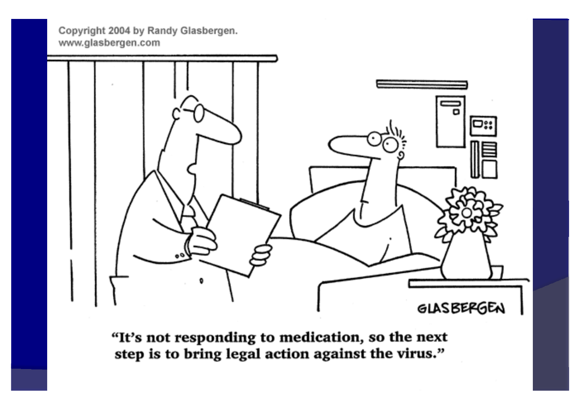

"It's not responding to medication, so the next step is to bring legal action against the virus."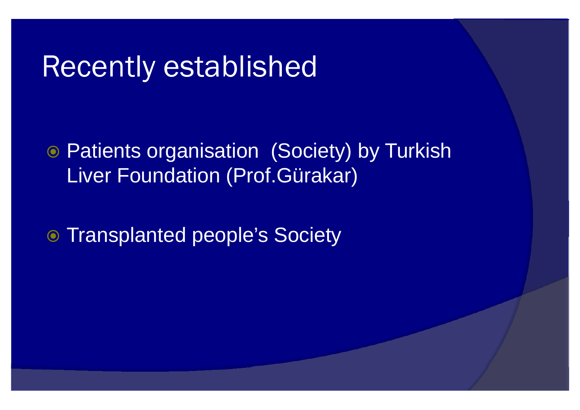### Recently established

 Patients organisation (Society) by Turkish Liver Foundation (Prof.Gürakar)

● Transplanted people's Society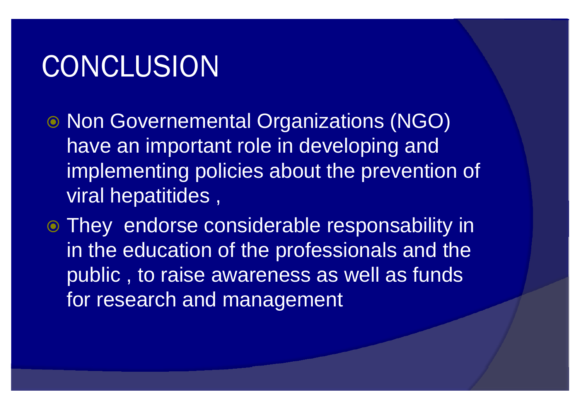# CONCLUSION

- Non Governemental Organizations (NGO) have an important role in developing and implementing policies about the prevention of viral hepatitides ,
- They endorse considerable responsability in in the education of the professionals and the public , to raise awareness as well as funds for research and management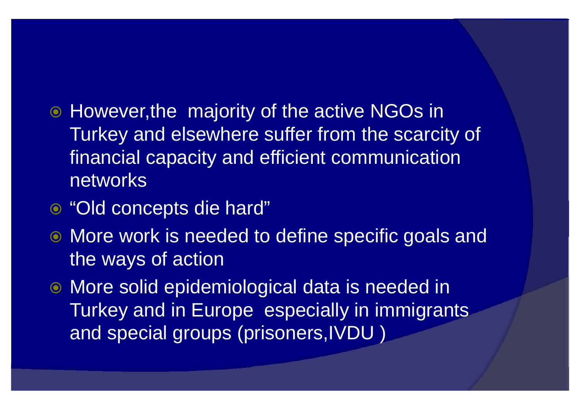- However,the majority of the active NGOs in Turkey and elsewhere suffer from the scarcity of financial capacity and efficient communication networks
- "Old concepts die hard"
- More work is needed to define specific goals and the ways of action
- More solid epidemiological data is needed in Turkey and in Europe especially in immigrants and special groups (prisoners,IVDU )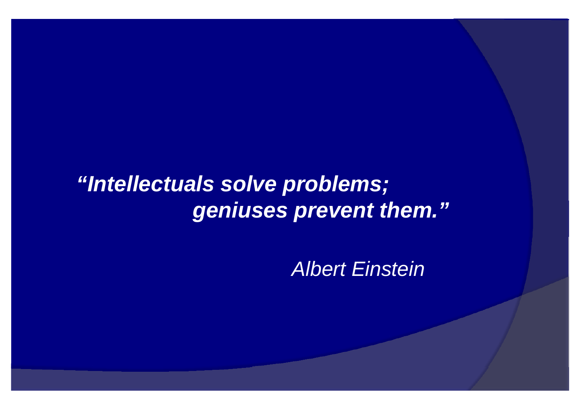### *"Intellectuals solve problems; geniuses prevent them."*

*Albert Einstein*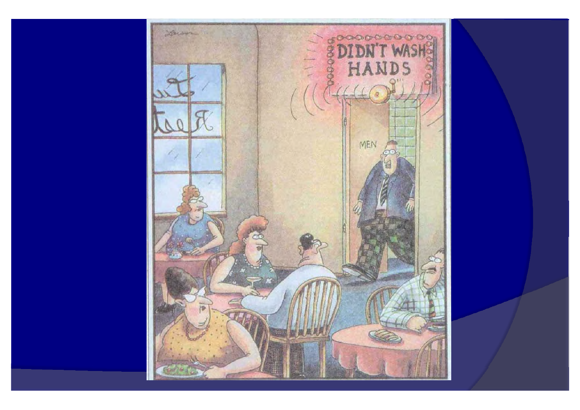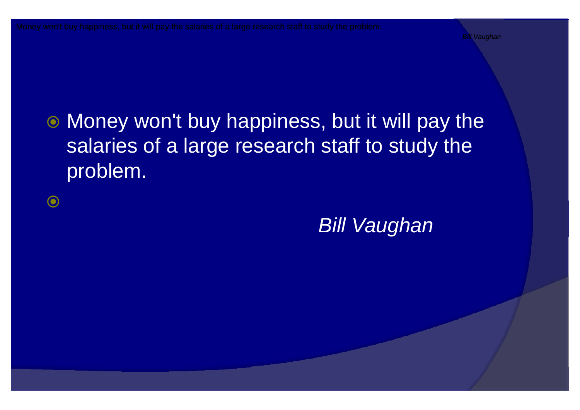Money won't buy happiness, but it will pay the salaries of a large research staff to study the problem.

 $\bigodot$ 

### *Bill Vaughan*